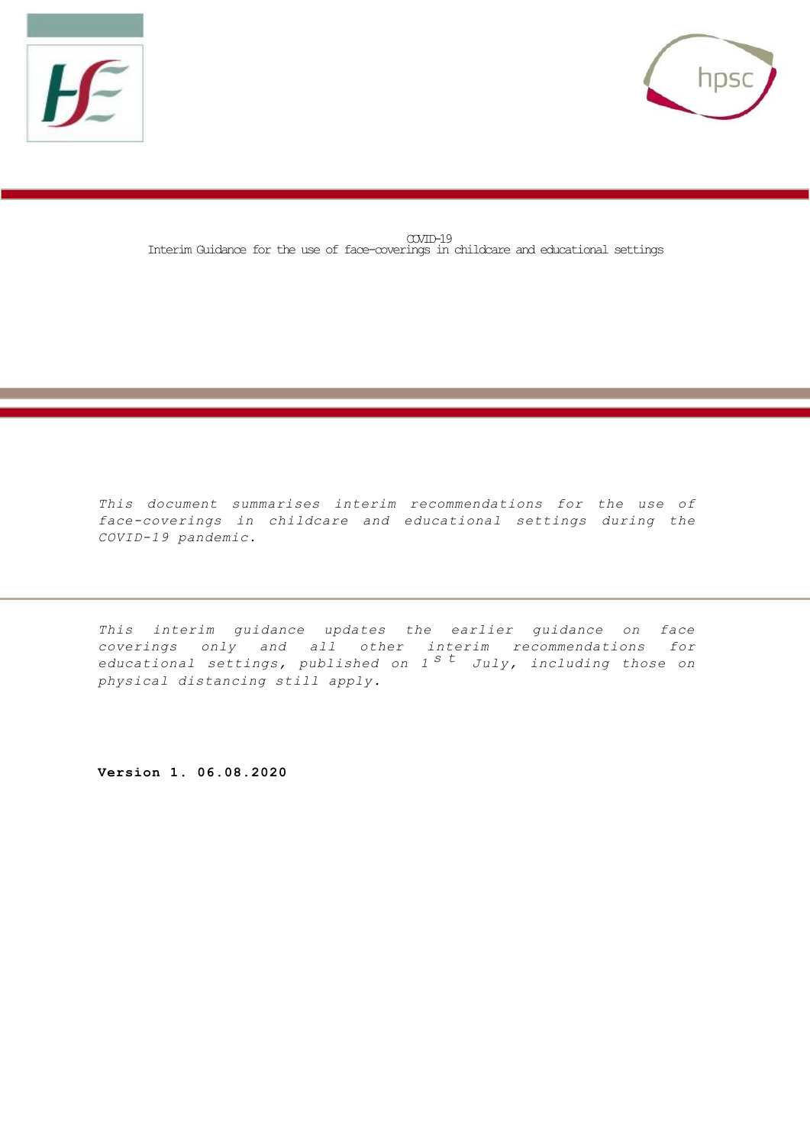



COVID-19 Interim Guidance for the use of face-coverings in childcare and educational settings

*This document summarises interim recommendations for the use of face-coverings in childcare and educational settings during the COVID-19 pandemic.* 

*This interim guidance updates the earlier guidance on face coverings only and all other interim recommendations for educational settings, published on 1 s t July, including those on physical distancing still apply.*

**Version 1. 06.08.2020**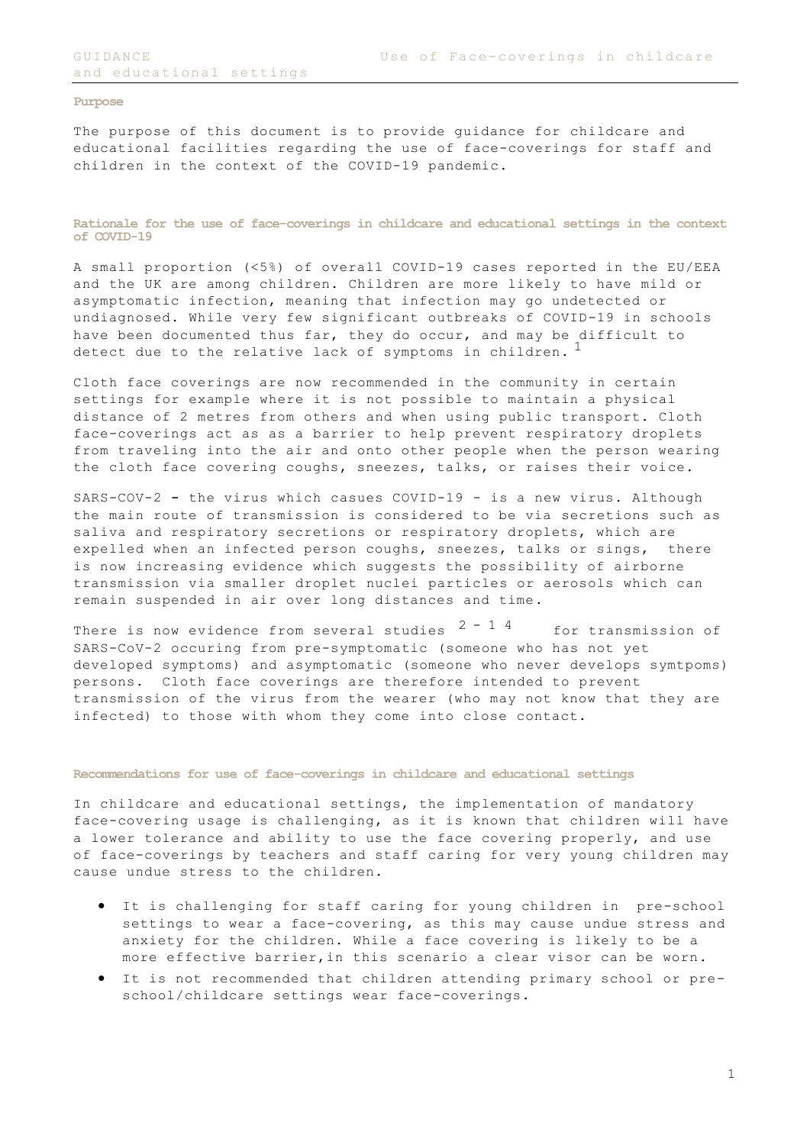## **Purpose**

The purpose of this document is to provide guidance for childcare and educational facilities regarding the use of face-coverings for staff and children in the context of the COVID-19 pandemic.

**Rationale for the use of face-coverings in childcare and educational settings in the context of COVID-19**

A small proportion (<5%) of overall COVID-19 cases reported in the EU/EEA and the UK are among children. Children are more likely to have mild or asymptomatic infection, meaning that infection may go undetected or undiagnosed. While very few significant outbreaks of COVID-19 in schools have been documented thus far, they do occur, and may be difficult to detect due to the relative lack of symptoms in children.<sup>1</sup>

Cloth face coverings are now recommended in the community in certain settings for example where it is not possible to maintain a physical distance of 2 metres from others and when using public transport. Cloth face-coverings act as as a barrier to help prevent respiratory droplets from traveling into the air and onto other people when the person wearing the cloth face covering coughs, sneezes, talks, or raises their voice.

SARS-COV-2 - the virus which casues COVID-19 - is a new virus. Although the main route of transmission is considered to be via secretions such as saliva and respiratory secretions or respiratory droplets, which are expelled when an infected person coughs, sneezes, talks or sings, there is now increasing evidence which suggests the possibility of airborne transmission via smaller droplet nuclei particles or aerosols which can remain suspended in air over long distances and time.

There is now evidence from several studies  $2 - 1$  4 for transmission of SARS-CoV-2 occuring from pre-symptomatic (someone who has not yet developed symptoms) and asymptomatic (someone who never develops symtpoms) persons. Cloth face coverings are therefore intended to prevent transmission of the virus from the wearer (who may not know that they are infected) to those with whom they come into close contact.

## **Recommendations for use of face-coverings in childcare and educational settings**

In childcare and educational settings, the implementation of mandatory face-covering usage is challenging, as it is known that children will have a lower tolerance and ability to use the face covering properly, and use of face-coverings by teachers and staff caring for very young children may cause undue stress to the children.

- It is challenging for staff caring for young children in pre-school settings to wear a face-covering, as this may cause undue stress and anxiety for the children. While a face covering is likely to be a more effective barrier,in this scenario a clear visor can be worn.
- It is not recommended that children attending primary school or preschool/childcare settings wear face-coverings.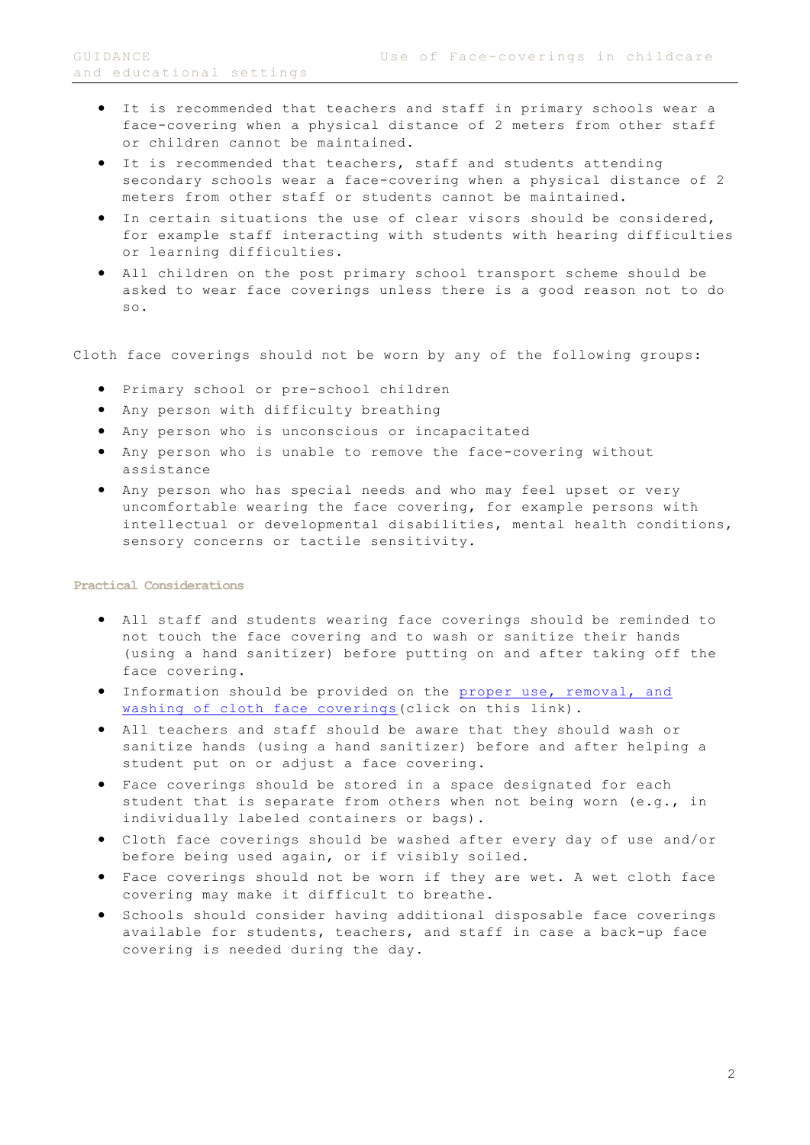- It is recommended that teachers and staff in primary schools wear a face-covering when a physical distance of 2 meters from other staff or children cannot be maintained.
- It is recommended that teachers, staff and students attending secondary schools wear a face-covering when a physical distance of 2 meters from other staff or students cannot be maintained.
- In certain situations the use of clear visors should be considered, for example staff interacting with students with hearing difficulties or learning difficulties.
- All children on the post primary school transport scheme should be asked to wear face coverings unless there is a good reason not to do so.

Cloth face coverings should not be worn by any of the following groups:

- Primary school or pre-school children
- Any person with difficulty breathing
- Any person who is unconscious or incapacitated
- Any person who is unable to remove the face-covering without assistance
- Any person who has special needs and who may feel upset or very uncomfortable wearing the face covering, for example persons with intellectual or developmental disabilities, mental health conditions, sensory concerns or tactile sensitivity.

## **Practical Considerations**

- All staff and students wearing face coverings should be reminded to not touch the face covering and to wash or sanitize their hands (using a hand sanitizer) before putting on and after taking off the face covering.
- Information should be provided on the [proper use, removal, and](https://www.gov.ie/en/publication/aac74c-guidance-on-safe-use-of-face-coverings/)  [washing of cloth face coverings\(](https://www.gov.ie/en/publication/aac74c-guidance-on-safe-use-of-face-coverings/)click on this link).
- All teachers and staff should be aware that they should wash or sanitize hands (using a hand sanitizer) before and after helping a student put on or adjust a face covering.
- Face coverings should be stored in a space designated for each student that is separate from others when not being worn (e.g., in individually labeled containers or bags).
- Cloth face coverings should be washed after every day of use and/or before being used again, or if visibly soiled.
- Face coverings should not be worn if they are wet. A wet cloth face covering may make it difficult to breathe.
- Schools should consider having additional disposable face coverings available for students, teachers, and staff in case a back-up face covering is needed during the day.